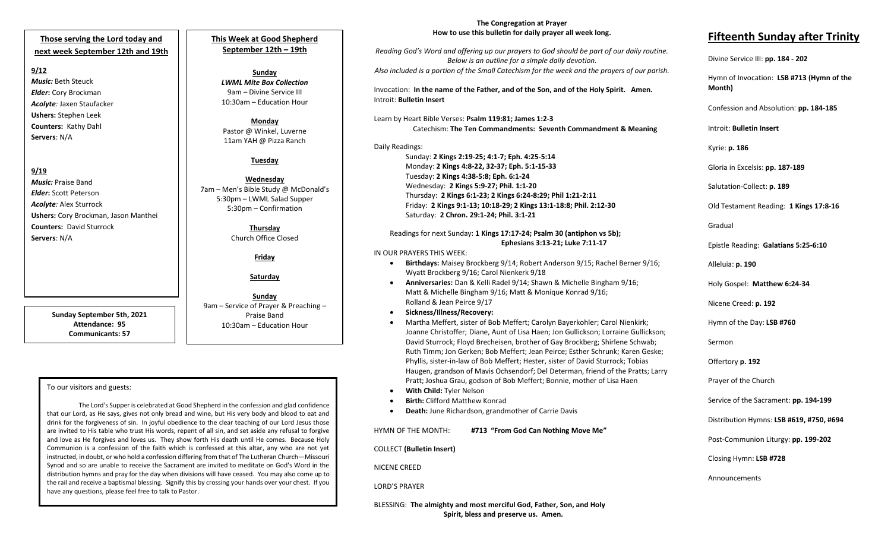#### **Those serving the Lord today and next week September 12th and 19th**

#### **9/12**

*Music:* Beth Steuck *Elder***:** Cory Brockman *Acolyte:* Jaxen Staufacker **Ushers:** Stephen Leek **Counters:** Kathy Dahl **Servers**: N/A

### **9/19**

*Music:* Praise Band *Elder***:** Scott Peterson *Acolyte:* Alex Sturrock **Ushers:** Cory Brockman, Jason Manthei **Counters:** David Sturrock **Servers**: N/A

> **Sunday September 5th, 2021 Attendance: 95 Communicants: 57**

#### **This Week at Good Shepherd September 12th – 19th**

#### **Sunday** *LWML Mite Box Collection* 9am – Divine Service III 10:30am – Education Hour

**Monday** Pastor @ Winkel, Luverne 11am YAH @ Pizza Ranch

#### **Tuesday**

**Wednesday** 7am – Men's Bible Study @ McDonald's 5:30pm – LWML Salad Supper 5:30pm – Confirmation

#### **Thursday** Church Office Closed

**Friday**

#### **Saturday**

**Sunday**  9am – Service of Prayer & Preaching – Praise Band 10:30am – Education Hour

#### To our visitors and guests:

 the rail and receive a baptismal blessing. Signify this by crossing your hands over your chest. If you The Lord's Supper is celebrated at Good Shepherd in the confession and glad confidence that our Lord, as He says, gives not only bread and wine, but His very body and blood to eat and drink for the forgiveness of sin. In joyful obedience to the clear teaching of our Lord Jesus those are invited to His table who trust His words, repent of all sin, and set aside any refusal to forgive and love as He forgives and loves us. They show forth His death until He comes. Because Holy Communion is a confession of the faith which is confessed at this altar, any who are not yet instructed, in doubt, or who hold a confession differing from that of The Lutheran Church—Missouri Synod and so are unable to receive the Sacrament are invited to meditate on God's Word in the distribution hymns and pray for the day when divisions will have ceased. You may also come up to have any questions, please feel free to talk to Pastor.

#### **The Congregation at Prayer How to use this bulletin for daily prayer all week long.**

*Reading God's Word and offering up our prayers to God should be part of our daily routine. Below is an outline for a simple daily devotion. Also included is a portion of the Small Catechism for the week and the prayers of our parish.*

Invocation: **In the name of the Father, and of the Son, and of the Holy Spirit. Amen.** Introit: **Bulletin Insert**

#### Learn by Heart Bible Verses: **Psalm 119:81; James 1:2-3** Catechism: **The Ten Commandments: Seventh Commandment & Meaning**

#### Daily Readings:

Sunday: **2 Kings 2:19-25; 4:1-7; Eph. 4:25-5:14** Monday: **2 Kings 4:8-22, 32-37; Eph. 5:1-15-33** Tuesday: **2 Kings 4:38-5:8; Eph. 6:1-24** Wednesday: **2 Kings 5:9-27; Phil. 1:1-20** Thursday: **2 Kings 6:1-23; 2 Kings 6:24-8:29; Phil 1:21-2:11** Friday: **2 Kings 9:1-13; 10:18-29; 2 Kings 13:1-18:8; Phil. 2:12-30** Saturday: **2 Chron. 29:1-24; Phil. 3:1-21**

#### Readings for next Sunday: **1 Kings 17:17-24; Psalm 30 (antiphon vs 5b); Ephesians 3:13-21; Luke 7:11-17**

#### IN OUR PRAYERS THIS WEEK:

- **Birthdays:** Maisey Brockberg 9/14; Robert Anderson 9/15; Rachel Berner 9/16; Wyatt Brockberg 9/16; Carol Nienkerk 9/18
- **Anniversaries:** Dan & Kelli Radel 9/14; Shawn & Michelle Bingham 9/16; Matt & Michelle Bingham 9/16; Matt & Monique Konrad 9/16; Rolland & Jean Peirce 9/17
- **Sickness/Illness/Recovery:**
- Martha Meffert, sister of Bob Meffert; Carolyn Bayerkohler; Carol Nienkirk; Joanne Christoffer; Diane, Aunt of Lisa Haen; Jon Gullickson; Lorraine Gullickson; David Sturrock; Floyd Brecheisen, brother of Gay Brockberg; Shirlene Schwab; Ruth Timm; Jon Gerken; Bob Meffert; Jean Peirce; Esther Schrunk; Karen Geske; Phyllis, sister-in-law of Bob Meffert; Hester, sister of David Sturrock; Tobias Haugen, grandson of Mavis Ochsendorf; Del Determan, friend of the Pratts; Larry Pratt; Joshua Grau, godson of Bob Meffert; Bonnie, mother of Lisa Haen
- **With Child:** Tyler Nelson
- **Birth:** Clifford Matthew Konrad
- **Death:** June Richardson, grandmother of Carrie Davis

# HYMN OF THE MONTH: **#713 "From God Can Nothing Move Me"**

COLLECT **(Bulletin Insert)**

NICENE CREED

#### LORD'S PRAYER

BLESSING: **The almighty and most merciful God, Father, Son, and Holy Spirit, bless and preserve us. Amen.**

# **Fifteenth Sunday after Trinity**

## Divine Service III: **pp. 184 - 202**

Hymn of Invocation: **LSB #713 (Hymn of the Month)**

Confession and Absolution: **pp. 184-185**

Introit: **Bulletin Insert** 

Kyrie: **p. 186**

Gloria in Excelsis: **pp. 187-189**

Salutation-Collect: **p. 189**

Old Testament Reading: **1 Kings 17:8-16**

Gradual

Epistle Reading: **Galatians 5:25-6:10**

Alleluia: **p. 190**

Holy Gospel: **Matthew 6:24-34**

Nicene Creed: **p. 192**

Hymn of the Day: **LSB #760**

Sermon

Offertory **p. 192**

Prayer of the Church

Service of the Sacrament: **pp. 194-199**

Distribution Hymns: **LSB #619, #750, #694**

Post-Communion Liturgy: **pp. 199-202** 

Closing Hymn: **LSB #728**

Announcements